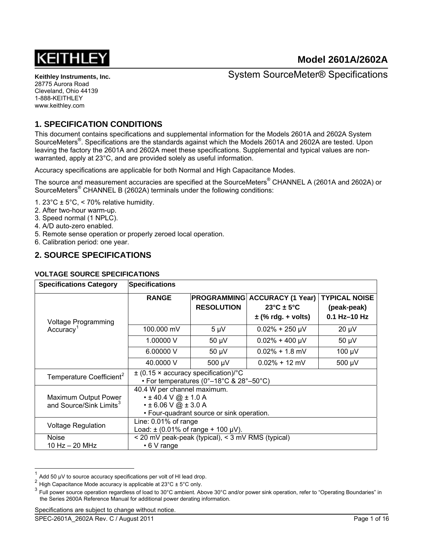

System SourceMeter® Specifications

## **1. SPECIFICATION CONDITIONS**

This document contains specifications and supplemental information for the Models 2601A and 2602A System SourceMeters<sup>®</sup>. Specifications are the standards against which the Models 2601A and 2602A are tested. Upon leaving the factory the 2601A and 2602A meet these specifications. Supplemental and typical values are nonwarranted, apply at 23°C, and are provided solely as useful information.

Accuracy specifications are applicable for both Normal and High Capacitance Modes.

The source and measurement accuracies are specified at the SourceMeters® CHANNEL A (2601A and 2602A) or SourceMeters<sup>®</sup> CHANNEL B (2602A) terminals under the following conditions:

- 1. 23°C  $\pm$  5°C, < 70% relative humidity.
- 2. After two-hour warm-up.
- 3. Speed normal (1 NPLC).
- 4. A/D auto-zero enabled.
- 5. Remote sense operation or properly zeroed local operation.
- 6. Calibration period: one year.

## **2. SOURCE SPECIFICATIONS**

#### **VOLTAGE SOURCE SPECIFICATIONS**

| <b>Specifications Category</b>                              | <b>Specifications</b>                                                                                                                |                                         |                                                                                       |                                                       |  |
|-------------------------------------------------------------|--------------------------------------------------------------------------------------------------------------------------------------|-----------------------------------------|---------------------------------------------------------------------------------------|-------------------------------------------------------|--|
| <b>Voltage Programming</b>                                  | <b>RANGE</b>                                                                                                                         | <b>PROGRAMMING</b><br><b>RESOLUTION</b> | <b>ACCURACY (1 Year)</b><br>$23^{\circ}$ C ± 5 $^{\circ}$ C<br>$\pm$ (% rdg. + volts) | <b>TYPICAL NOISE</b><br>(peak-peak)<br>$0.1$ Hz-10 Hz |  |
| Accuracy <sup>1</sup>                                       | 100.000 mV                                                                                                                           | $5 \mu V$                               | $0.02\% + 250 \mu V$                                                                  | $20 \mu V$                                            |  |
|                                                             | 1.00000 V                                                                                                                            | $50 \mu V$                              | $0.02\% + 400 \mu V$                                                                  | $50 \mu V$                                            |  |
|                                                             | 6.00000V                                                                                                                             | $50 \mu V$                              | $0.02\% + 1.8$ mV                                                                     | 100 µV                                                |  |
|                                                             | 40,0000 V                                                                                                                            | 500 µV                                  | $0.02\% + 12$ mV                                                                      | 500 µV                                                |  |
| Temperature Coefficient <sup>2</sup>                        | $\pm$ (0.15 × accuracy specification)/°C<br>• For temperatures (0°–18°C & 28°–50°C)                                                  |                                         |                                                                                       |                                                       |  |
| Maximum Output Power<br>and Source/Sink Limits <sup>3</sup> | 40.4 W per channel maximum.<br>$\cdot$ ± 40.4 V @ ± 1.0 A<br>$\cdot$ ± 6.06 V @ ± 3.0 A<br>• Four-quadrant source or sink operation. |                                         |                                                                                       |                                                       |  |
| <b>Voltage Regulation</b>                                   | Line: $0.01\%$ of range<br>Load: $\pm$ (0.01% of range + 100 µV).                                                                    |                                         |                                                                                       |                                                       |  |
| <b>Noise</b><br>10 Hz - 20 MHz                              | < 20 mV peak-peak (typical), < 3 mV RMS (typical)<br>$\cdot$ 6 V range                                                               |                                         |                                                                                       |                                                       |  |

<span id="page-0-0"></span> $\frac{1}{2}$  Add 50 µV to source accuracy specifications per volt of HI lead drop.

<span id="page-0-2"></span>

<span id="page-0-1"></span><sup>&</sup>lt;sup>2</sup> High Capacitance Mode accuracy is applicable at 23°C ± 5°C only.<br><sup>3</sup> Full power source operation regardless of load to 30°C ambient. Above 30°C and/or power sink operation, refer to "Operating Boundaries" in the Series 2600A Reference Manual for additional power derating information.

Specifications are subject to change without notice.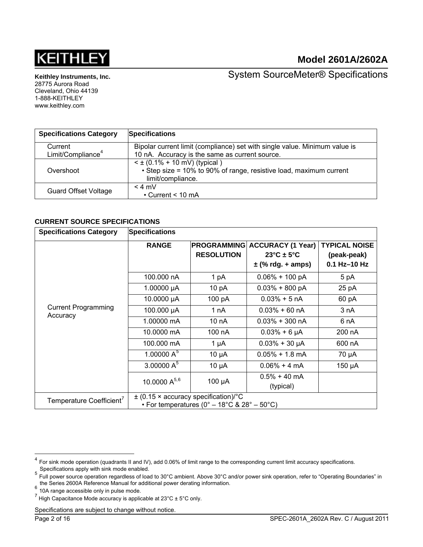

**Keithley Instruments, Inc.** 

28775 Aurora Road Cleveland, Ohio 44139 1-888-KEITHLEY www.keithley.com

System SourceMeter® Specifications

| <b>Specifications Category</b> | <b>Specifications</b>                                                                                                        |
|--------------------------------|------------------------------------------------------------------------------------------------------------------------------|
| Current                        | Bipolar current limit (compliance) set with single value. Minimum value is                                                   |
| Limit/Compliance <sup>4</sup>  | 10 nA. Accuracy is the same as current source.                                                                               |
| Overshoot                      | $\leq$ ± (0.1% + 10 mV) (typical)<br>• Step size = 10% to 90% of range, resistive load, maximum current<br>limit/compliance. |
| <b>Guard Offset Voltage</b>    | $< 4$ mV<br>$\cdot$ Current < 10 mA                                                                                          |

#### **CURRENT SOURCE SPECIFICATIONS**

| <b>Specifications Category</b>         | <b>Specifications</b>                                                                   |                                         |                                                                                      |                                                     |  |
|----------------------------------------|-----------------------------------------------------------------------------------------|-----------------------------------------|--------------------------------------------------------------------------------------|-----------------------------------------------------|--|
|                                        | <b>RANGE</b>                                                                            | <b>PROGRAMMING</b><br><b>RESOLUTION</b> | <b>ACCURACY (1 Year)</b><br>$23^{\circ}$ C ± 5 $^{\circ}$ C<br>$\pm$ (% rdg. + amps) | <b>TYPICAL NOISE</b><br>(peak-peak)<br>0.1 Hz-10 Hz |  |
|                                        | 100.000 nA                                                                              | 1 pA                                    | $0.06\% + 100 pA$                                                                    | 5 pA                                                |  |
|                                        | 1.00000 µA                                                                              | 10 pA                                   | $0.03\% + 800 \text{ pA}$                                                            | 25 pA                                               |  |
|                                        | 10.0000 µA                                                                              | 100 pA                                  | $0.03% + 5 nA$                                                                       | 60 pA                                               |  |
| <b>Current Programming</b><br>Accuracy | 100.000 µA                                                                              | 1 nA                                    | $0.03\% + 60 \text{ nA}$                                                             | 3 nA                                                |  |
|                                        | 1.00000 mA                                                                              | 10 nA                                   | $0.03\% + 300$ nA                                                                    | 6 nA                                                |  |
|                                        | 10.0000 mA                                                                              | 100 nA                                  | $0.03% + 6 \mu A$                                                                    | 200 nA                                              |  |
|                                        | 100.000 mA                                                                              | 1 $\mu$ A                               | $0.03% + 30 \mu A$                                                                   | 600 nA                                              |  |
|                                        | 1.00000 $A^5$                                                                           | $10 \mu A$                              | $0.05\% + 1.8$ mA                                                                    | 70 µA                                               |  |
|                                        | 3.00000 $A^5$                                                                           | $10 \mu A$                              | $0.06\% + 4 \text{ mA}$                                                              | 150 µA                                              |  |
|                                        | 10.0000 A <sup>5,6</sup>                                                                | $100 \mu A$                             | $0.5\% + 40$ mA<br>(typical)                                                         |                                                     |  |
| Temperature Coefficient <sup>7</sup>   | $\pm$ (0.15 × accuracy specification)/°C<br>• For temperatures (0° – 18°C & 28° – 50°C) |                                         |                                                                                      |                                                     |  |

<span id="page-1-0"></span><sup>4</sup> <sup>4</sup> For sink mode operation (quadrants II and IV), add 0.06% of limit range to the corresponding current limit accuracy specifications.

<span id="page-1-1"></span>Specifications apply with sink mode enabled.<br><sup>5</sup> Full power source operation regardless of load to 30°C ambient. Above 30°C and/or power sink operation, refer to "Operating Boundaries" in the Series 2600A Reference Manual for additional power derating information.<br><sup>6</sup> 10A range accessible only in pulse mode.

<span id="page-1-2"></span>

<span id="page-1-3"></span><sup>&</sup>lt;sup>7</sup> High Capacitance Mode accuracy is applicable at 23°C ± 5°C only.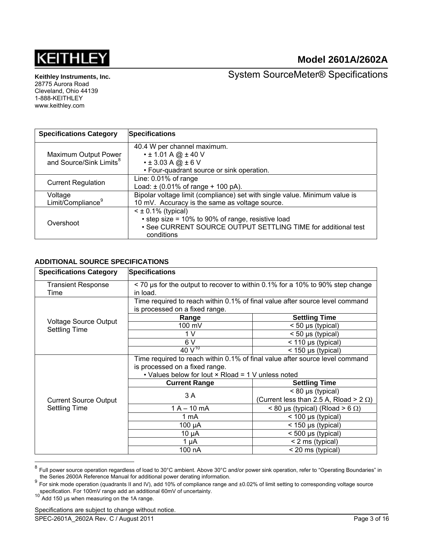

**Keithley Instruments, Inc.**  28775 Aurora Road

Cleveland, Ohio 44139 1-888-KEITHLEY www.keithley.com

System SourceMeter® Specifications

| <b>Specifications Category</b>      | <b>Specifications</b>                                                      |  |  |  |
|-------------------------------------|----------------------------------------------------------------------------|--|--|--|
|                                     | 40.4 W per channel maximum.                                                |  |  |  |
| Maximum Output Power                | $\cdot$ ± 1.01 A @ ± 40 V                                                  |  |  |  |
| and Source/Sink Limits <sup>8</sup> | $\cdot$ ± 3.03 A @ ± 6 V                                                   |  |  |  |
|                                     | • Four-quadrant source or sink operation.                                  |  |  |  |
| <b>Current Regulation</b>           | Line: 0.01% of range                                                       |  |  |  |
|                                     | Load: $\pm$ (0.01% of range + 100 pA).                                     |  |  |  |
| Voltage                             | Bipolar voltage limit (compliance) set with single value. Minimum value is |  |  |  |
| Limit/Compliance <sup>9</sup>       | 10 mV. Accuracy is the same as voltage source.                             |  |  |  |
|                                     | $\leq$ ± 0.1% (typical)                                                    |  |  |  |
| Overshoot                           | • step size = 10% to 90% of range, resistive load                          |  |  |  |
|                                     | • See CURRENT SOURCE OUTPUT SETTLING TIME for additional test              |  |  |  |
|                                     | conditions                                                                 |  |  |  |

## **ADDITIONAL SOURCE SPECIFICATIONS**

| <b>Specifications Category</b>    | <b>Specifications</b>                                                                                                                                                       |                                                                          |  |  |
|-----------------------------------|-----------------------------------------------------------------------------------------------------------------------------------------------------------------------------|--------------------------------------------------------------------------|--|--|
| <b>Transient Response</b><br>Time | < 70 us for the output to recover to within 0.1% for a 10% to 90% step change<br>in load.                                                                                   |                                                                          |  |  |
|                                   | Time required to reach within 0.1% of final value after source level command<br>is processed on a fixed range.                                                              |                                                                          |  |  |
|                                   | Range                                                                                                                                                                       | <b>Settling Time</b>                                                     |  |  |
| <b>Voltage Source Output</b>      | 100 mV                                                                                                                                                                      | $<$ 50 µs (typical)                                                      |  |  |
| <b>Settling Time</b>              | 1 <sub>V</sub>                                                                                                                                                              | $< 50 \mu s$ (typical)                                                   |  |  |
|                                   | 6V                                                                                                                                                                          | $<$ 110 µs (typical)                                                     |  |  |
|                                   | $40V^{10}$                                                                                                                                                                  | $<$ 150 µs (typical)                                                     |  |  |
|                                   | Time required to reach within 0.1% of final value after source level command<br>is processed on a fixed range.<br>• Values below for lout $\times$ Rload = 1 V unless noted |                                                                          |  |  |
|                                   | <b>Current Range</b>                                                                                                                                                        | <b>Settling Time</b>                                                     |  |  |
| <b>Current Source Output</b>      | 3 A                                                                                                                                                                         | $< 80 \mu s$ (typical)<br>(Current less than 2.5 A, Rload > 2 $\Omega$ ) |  |  |
| <b>Settling Time</b>              | $1 A - 10 mA$                                                                                                                                                               | $< 80 \mu s$ (typical) (Rload $> 6 \Omega$ )                             |  |  |
|                                   | 1 mA                                                                                                                                                                        | $<$ 100 µs (typical)                                                     |  |  |
|                                   | $100 \mu A$                                                                                                                                                                 | < 150 µs (typical)                                                       |  |  |
|                                   | $10 \mu A$                                                                                                                                                                  | $< 500 \mu s$ (typical)                                                  |  |  |
|                                   | $1 \mu A$                                                                                                                                                                   | < 2 ms (typical)                                                         |  |  |
|                                   | 100 nA                                                                                                                                                                      | < 20 ms (typical)                                                        |  |  |

<sup>&</sup>lt;sup>8</sup> Full power source operation regardless of load to 30°C ambient. Above 30°C and/or power sink operation, refer to "Operating Boundaries" in

l

<span id="page-2-1"></span><span id="page-2-0"></span>the Series 2600A Reference Manual for additional power derating information.<br><sup>9</sup> For sink mode operation (quadrants II and IV), add 10% of compliance range and ±0.02% of limit setting to corresponding voltage source specification. For 100mV range add an additional 60mV of uncertainty.<br><sup>10</sup> Add 150 µs when measuring on the 1A range.

<span id="page-2-2"></span>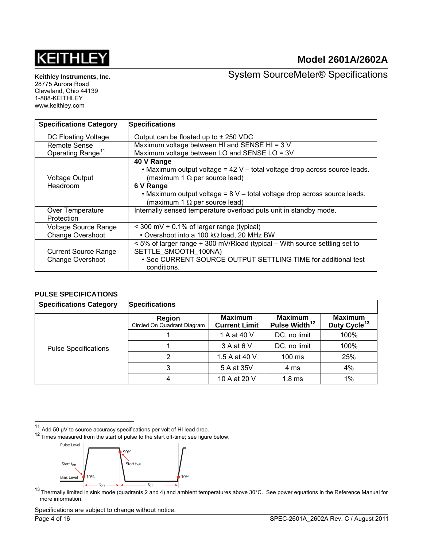# **KEITHLE**

## **Model 2601A/2602A**

**Keithley Instruments, Inc.**  28775 Aurora Road

Cleveland, Ohio 44139 1-888-KEITHLEY www.keithley.com

System SourceMeter® Specifications

| <b>Specifications Category</b> | <b>Specifications</b>                                                      |  |  |  |
|--------------------------------|----------------------------------------------------------------------------|--|--|--|
| DC Floating Voltage            | Output can be floated up to $\pm$ 250 VDC                                  |  |  |  |
| <b>Remote Sense</b>            | Maximum voltage between HI and SENSE HI = 3 V                              |  |  |  |
| Operating Range <sup>11</sup>  | Maximum voltage between LO and SENSE LO = 3V                               |  |  |  |
|                                | 40 V Range                                                                 |  |  |  |
|                                | . Maximum output voltage = 42 V - total voltage drop across source leads.  |  |  |  |
| <b>Voltage Output</b>          | (maximum 1 $\Omega$ per source lead)                                       |  |  |  |
| Headroom                       | 6 V Range                                                                  |  |  |  |
|                                | • Maximum output voltage = 8 V - total voltage drop across source leads.   |  |  |  |
|                                | (maximum 1 $\Omega$ per source lead)                                       |  |  |  |
| Over Temperature               | Internally sensed temperature overload puts unit in standby mode.          |  |  |  |
| Protection                     |                                                                            |  |  |  |
| <b>Voltage Source Range</b>    | < 300 mV + 0.1% of larger range (typical)                                  |  |  |  |
| <b>Change Overshoot</b>        | • Overshoot into a 100 k $\Omega$ load, 20 MHz BW                          |  |  |  |
|                                | < 5% of larger range + 300 mV/Rload (typical – With source settling set to |  |  |  |
| <b>Current Source Range</b>    | SETTLE SMOOTH 100NA)                                                       |  |  |  |
| <b>Change Overshoot</b>        | • See CURRENT SOURCE OUTPUT SETTLING TIME for additional test              |  |  |  |
|                                | conditions.                                                                |  |  |  |

#### **PULSE SPECIFICATIONS**

| <b>Specifications Category</b> | <b>Specifications</b>                 |                                        |                                             |                                            |
|--------------------------------|---------------------------------------|----------------------------------------|---------------------------------------------|--------------------------------------------|
|                                | Region<br>Circled On Quadrant Diagram | <b>Maximum</b><br><b>Current Limit</b> | <b>Maximum</b><br>Pulse Width <sup>12</sup> | <b>Maximum</b><br>Duty Cycle <sup>13</sup> |
|                                |                                       | 1 A at 40 V                            | DC, no limit                                | 100%                                       |
| <b>Pulse Specifications</b>    |                                       | 3 A at 6 V                             | DC, no limit                                | 100%                                       |
|                                | 2                                     | 1.5 A at 40 V                          | $100 \text{ ms}$                            | 25%                                        |
|                                | 3                                     | 5 A at 35V                             | 4 ms                                        | 4%                                         |
|                                | 4                                     | 10 A at 20 V                           | 1.8 <sub>ms</sub>                           | $1\%$                                      |

 $11$ 

<span id="page-3-1"></span><span id="page-3-0"></span><sup>11</sup> Add 50  $\mu$ V to source accuracy specifications per volt of HI lead drop.<br><sup>12</sup> Times measured from the start of pulse to the start off-time; see figure below.



<span id="page-3-2"></span>Thermally limited in sink mode (quadrants 2 and 4) and ambient temperatures above 30°C. See power equations in the Reference Manual for  $^{13}$  Thermally limited in sink mode (quadrants 2 and 4) and ambient temperatures ab more information.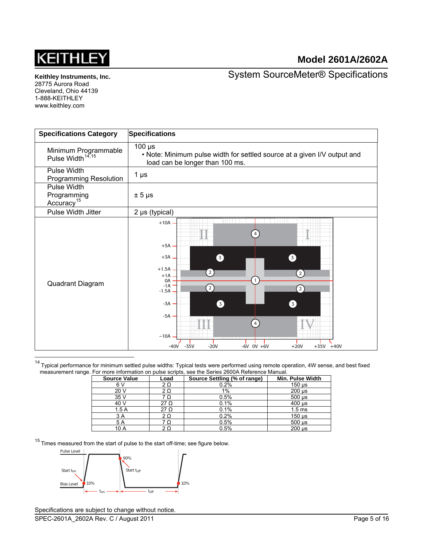

**Keithley Instruments, Inc.** 

28775 Aurora Road Cleveland, Ohio 44139 1-888-KEITHLEY www.keithley.com

System SourceMeter® Specifications

<span id="page-4-1"></span>

| <b>Specifications Category</b>                       | <b>Specifications</b>                                                                                                                                                                                                                                                          |
|------------------------------------------------------|--------------------------------------------------------------------------------------------------------------------------------------------------------------------------------------------------------------------------------------------------------------------------------|
| Minimum Programmable<br>Pulse Width <sup>14,15</sup> | $100 \mu s$<br>. Note: Minimum pulse width for settled source at a given I/V output and<br>load can be longer than 100 ms.                                                                                                                                                     |
| Pulse Width<br><b>Programming Resolution</b>         | 1 $\mu$ s                                                                                                                                                                                                                                                                      |
| Pulse Width<br>Programming<br>Accuracy <sup>15</sup> | $± 5 \mu s$                                                                                                                                                                                                                                                                    |
| Pulse Width Jitter                                   | 2 µs (typical)                                                                                                                                                                                                                                                                 |
| Quadrant Diagram                                     | $+10A$<br>$+5A$<br>$+3A$<br>3<br>3<br>$+1.5A$ .<br>$\left( 2\right)$<br>$\left( 2\right)$<br>$+1A$<br>0A<br>$-1A$<br>$\Omega$<br>$\Omega$<br>$-1.5A$ .<br>6<br>3<br>$-3A -$<br>$-5A$ -<br>4<br>$-10A$<br>$-35V$<br>$-6V$ OV $+6V$<br>$+20V$<br>$-20V$<br>$+35V +40V$<br>$-40V$ |

<span id="page-4-0"></span>14<br><sup>14</sup> Typical performance for minimum settled pulse widths: Typical tests were performed using remote operation, 4W sense, and best fixed measurement range. For more information on pulse scripts, see the Series 2600A Reference Manual.

| <b>Source Value</b> | Load      | Source Settling (% of range) | Min. Pulse Width          |
|---------------------|-----------|------------------------------|---------------------------|
| 6 V                 | $2\Omega$ | 0.2%                         | $150 \,\mathrm{\upmu s}$  |
| 20 V                | 2Ω        | 1%                           | $200 \mu s$               |
| 35 V                |           | 0.5%                         | $500 \text{ }\mu\text{s}$ |
| 40 V                | 27 Ω      | 0.1%                         | $400 \mu s$               |
| 1.5 A               | 27 Ω      | 0.1%                         | 1.5 <sub>ms</sub>         |
| 3 A                 |           | 0.2%                         | $150$ $\mu$ s             |
| 5 A                 |           | 0.5%                         | $500 \text{ }\mu\text{s}$ |
| 10 A                |           | 0.5%                         | $200 \text{ }\mu\text{s}$ |

 $15$  Times measured from the start of pulse to the start off-time; see figure below.

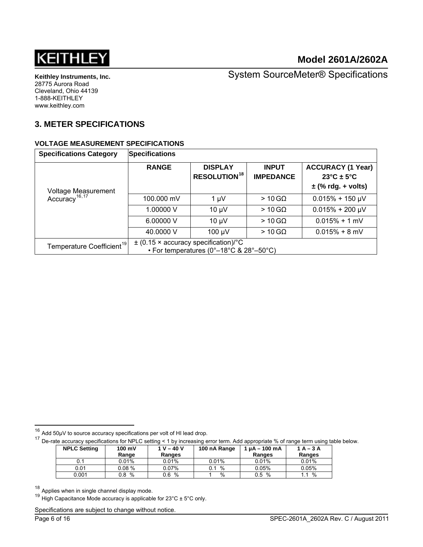

System SourceMeter® Specifications

## **3. METER SPECIFICATIONS**

#### **VOLTAGE MEASUREMENT SPECIFICATIONS**

<span id="page-5-4"></span>

| <b>Specifications Category</b>                   | <b>Specifications</b>                                                               |                                                  |                                  |                                                                            |  |
|--------------------------------------------------|-------------------------------------------------------------------------------------|--------------------------------------------------|----------------------------------|----------------------------------------------------------------------------|--|
|                                                  | <b>RANGE</b>                                                                        | <b>DISPLAY</b><br><b>RESOLUTION<sup>18</sup></b> | <b>INPUT</b><br><b>IMPEDANCE</b> | <b>ACCURACY (1 Year)</b><br>$23^{\circ}$ C ± 5°C<br>$\pm$ (% rdg. + volts) |  |
| Voltage Measurement<br>Accuracy <sup>16,17</sup> | 100.000 mV                                                                          | $1 \mu V$                                        | $>10$ GQ                         | $0.015\% + 150 \mu V$                                                      |  |
|                                                  | 1.00000 V                                                                           | $10 \mu V$                                       | $>10$ GQ                         | $0.015\% + 200 \mu V$                                                      |  |
|                                                  | 6.00000 V                                                                           | $10 \mu V$                                       | $>10$ GQ                         | $0.015% + 1$ mV                                                            |  |
|                                                  | 40.0000 V                                                                           | 100 µV                                           | $>10$ GQ                         | $0.015% + 8$ mV                                                            |  |
| Temperature Coefficient <sup>19</sup>            | $\pm$ (0.15 × accuracy specification)/°C<br>• For temperatures (0°–18°C & 28°–50°C) |                                                  |                                  |                                                                            |  |

<span id="page-5-1"></span> $17$  De-rate accuracy specifications for NPLC setting < 1 by increasing error term. Add appropriate % of range term using table below.

| <b>NPLC Setting</b> | $100 \text{ mV}$<br>Range | $1 V - 40 V$<br>Ranges | 100 nA Range | $1 \mu A - 100 \mu A$<br>Ranges | $1A-3A$<br>Ranges |
|---------------------|---------------------------|------------------------|--------------|---------------------------------|-------------------|
|                     | $0.01\%$                  | 0.01%                  | 0.01%        | 0.01%                           | 0.01%             |
| 0.01                | 0.08%                     | 0.07%                  | %            | 0.05%                           | 0.05%             |
| 0.001               | %<br>0.8                  | %<br>0.6               | %            | %<br>0.5                        | %                 |

<span id="page-5-2"></span> $18$  Applies when in single channel display mode.

<span id="page-5-3"></span><sup>19</sup> High Capacitance Mode accuracy is applicable for  $23^{\circ}$ C ±  $5^{\circ}$ C only.

Specifications are subject to change without notice.

<span id="page-5-0"></span> $16$  Add 50µV to source accuracy specifications per volt of HI lead drop.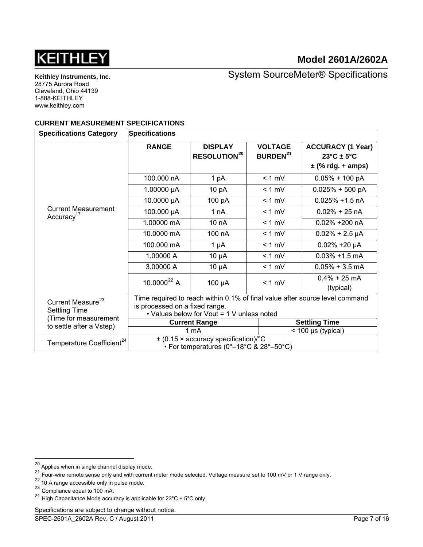

**Keithley Instruments, Inc.**  28775 Aurora Road Cleveland, Ohio 44139 1-888-KEITHLEY www.keithley.com

System SourceMeter® Specifications

#### **CURRENT MEASUREMENT SPECIFICATIONS**

| <b>Specifications Category</b>                       | <b>Specifications</b>                                                        |                                                  |                                              |                                                                           |  |  |
|------------------------------------------------------|------------------------------------------------------------------------------|--------------------------------------------------|----------------------------------------------|---------------------------------------------------------------------------|--|--|
|                                                      | <b>RANGE</b>                                                                 | <b>DISPLAY</b><br><b>RESOLUTION<sup>20</sup></b> | <b>VOLTAGE</b><br><b>BURDEN<sup>21</sup></b> | <b>ACCURACY (1 Year)</b><br>$23^{\circ}$ C ± 5°C<br>$\pm$ (% rdg. + amps) |  |  |
|                                                      |                                                                              |                                                  |                                              |                                                                           |  |  |
|                                                      | 100.000 nA                                                                   | 1 pA                                             | $< 1$ mV                                     | $0.05\% + 100 pA$                                                         |  |  |
|                                                      | 1.00000 $\mu$ A                                                              | 10 pA                                            | $< 1$ mV                                     | $0.025% + 500 pA$                                                         |  |  |
|                                                      | 10.0000 µA                                                                   | 100 pA                                           | $< 1$ mV                                     | $0.025\% + 1.5$ nA                                                        |  |  |
| <b>Current Measurement</b><br>Accuracy <sup>17</sup> | 100.000 µA                                                                   | 1 nA                                             | $< 1$ mV                                     | $0.02\% + 25$ nA                                                          |  |  |
|                                                      | 1.00000 mA                                                                   | 10 nA                                            | $< 1$ mV                                     | 0.02% +200 nA                                                             |  |  |
|                                                      | 10.0000 mA                                                                   | 100 nA                                           | $< 1$ mV                                     | $0.02\% + 2.5 \mu A$                                                      |  |  |
|                                                      | 100.000 mA<br>$1 \mu A$                                                      |                                                  | $< 1$ mV                                     | $0.02\% + 20 \mu A$                                                       |  |  |
|                                                      | 1.00000 A                                                                    | $10 \mu A$                                       | $< 1$ mV                                     | $0.03\% + 1.5$ mA                                                         |  |  |
|                                                      | 3.00000 A                                                                    | $10 \mu A$                                       | $< 1$ mV                                     | $0.05\% + 3.5$ mA                                                         |  |  |
|                                                      | $10.0000^{22}$ A                                                             | 100 µA                                           | $< 1$ mV                                     | $0.4\% + 25$ mA<br>(typical)                                              |  |  |
| Current Measure <sup>23</sup>                        | Time required to reach within 0.1% of final value after source level command |                                                  |                                              |                                                                           |  |  |
| <b>Settling Time</b><br>(Time for measurement        | is processed on a fixed range.<br>• Values below for Vout = 1 V unless noted |                                                  |                                              |                                                                           |  |  |
| to settle after a Vstep)                             |                                                                              | <b>Current Range</b>                             |                                              | <b>Settling Time</b>                                                      |  |  |
|                                                      |                                                                              | 1 mA                                             |                                              | $<$ 100 µs (typical)                                                      |  |  |
| Temperature Coefficient <sup>24</sup>                |                                                                              | $\pm$ (0.15 × accuracy specification)/°C         |                                              |                                                                           |  |  |
|                                                      | • For temperatures (0°-18°C & 28°-50°C)                                      |                                                  |                                              |                                                                           |  |  |

l

<span id="page-6-0"></span> $^{20}$  Applies when in single channel display mode.

 $^{21}$  Four-wire remote sense only and with current meter mode selected. Voltage measure set to 100 mV or 1 V range only.

<span id="page-6-2"></span><span id="page-6-1"></span><sup>&</sup>lt;sup>22</sup> 10 A range accessible only in pulse mode.

<span id="page-6-3"></span><sup>23</sup> Compliance equal to 100 mA.

<span id="page-6-4"></span><sup>&</sup>lt;sup>24</sup> High Capacitance Mode accuracy is applicable for  $23^{\circ}$ C ± 5°C only.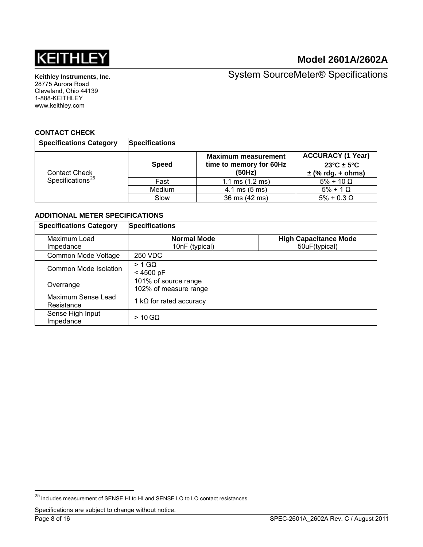

**Keithley Instruments, Inc.**  28775 Aurora Road Cleveland, Ohio 44139 1-888-KEITHLEY www.keithley.com

System SourceMeter® Specifications

#### **CONTACT CHECK**

| <b>Specifications Category</b>                       | <b>Specifications</b> |                                                                 |                                                                           |
|------------------------------------------------------|-----------------------|-----------------------------------------------------------------|---------------------------------------------------------------------------|
| <b>Contact Check</b><br>Specifications <sup>25</sup> | <b>Speed</b>          | <b>Maximum measurement</b><br>time to memory for 60Hz<br>(50Hz) | <b>ACCURACY (1 Year)</b><br>$23^{\circ}$ C ± 5°C<br>$\pm$ (% rdg. + ohms) |
|                                                      | Fast                  | 1.1 ms $(1.2 \text{ ms})$                                       | $5\% + 10 \Omega$                                                         |
|                                                      | Medium                | $4.1 \text{ ms } (5 \text{ ms})$                                | $5\% + 1$ $\Omega$                                                        |
|                                                      | Slow                  | 36 ms (42 ms)                                                   | $5\% + 0.3 \Omega$                                                        |

#### **ADDITIONAL METER SPECIFICATIONS**

| <b>Specifications Category</b>   | <b>Specifications</b>                         |                                               |  |  |
|----------------------------------|-----------------------------------------------|-----------------------------------------------|--|--|
| Maximum Load<br>Impedance        | <b>Normal Mode</b><br>10nF (typical)          | <b>High Capacitance Mode</b><br>50uF(typical) |  |  |
| Common Mode Voltage              | 250 VDC                                       |                                               |  |  |
| Common Mode Isolation            | $> 1$ GQ<br>$< 4500$ pF                       |                                               |  |  |
| Overrange                        | 101% of source range<br>102% of measure range |                                               |  |  |
| Maximum Sense Lead<br>Resistance | 1 k $\Omega$ for rated accuracy               |                                               |  |  |
| Sense High Input<br>Impedance    | $>10$ GQ                                      |                                               |  |  |

<span id="page-7-0"></span><sup>&</sup>lt;sup>25</sup> Includes measurement of SENSE HI to HI and SENSE LO to LO contact resistances.

Specifications are subject to change without notice.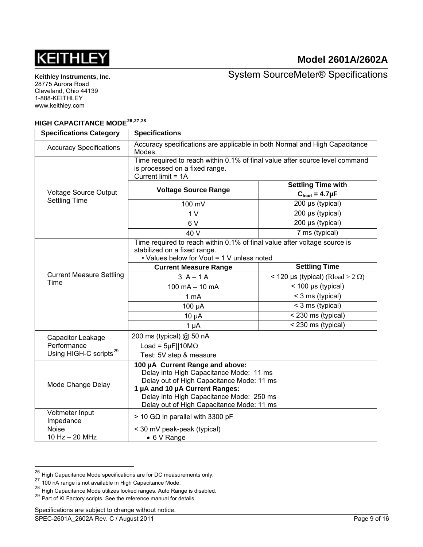

System SourceMeter® Specifications

## **HIGH CAPACITANCE MODE[26](#page-8-0),[27](#page-8-1),[28](#page-8-2)**

| <b>Specifications Category</b>                                                                | <b>Specifications</b>                                                                                                                                                                                                                              |                                                  |  |  |
|-----------------------------------------------------------------------------------------------|----------------------------------------------------------------------------------------------------------------------------------------------------------------------------------------------------------------------------------------------------|--------------------------------------------------|--|--|
| <b>Accuracy Specifications</b>                                                                | Accuracy specifications are applicable in both Normal and High Capacitance<br>Modes.                                                                                                                                                               |                                                  |  |  |
|                                                                                               | Time required to reach within 0.1% of final value after source level command<br>is processed on a fixed range.<br>Current limit = 1A                                                                                                               |                                                  |  |  |
| <b>Voltage Source Output</b>                                                                  | <b>Voltage Source Range</b>                                                                                                                                                                                                                        | <b>Settling Time with</b><br>$Cload = 4.7 \mu F$ |  |  |
| <b>Settling Time</b>                                                                          | 100 mV                                                                                                                                                                                                                                             | 200 µs (typical)                                 |  |  |
|                                                                                               | 1 <sub>V</sub>                                                                                                                                                                                                                                     | 200 µs (typical)                                 |  |  |
|                                                                                               | 6V                                                                                                                                                                                                                                                 | 200 µs (typical)                                 |  |  |
|                                                                                               | 40 V                                                                                                                                                                                                                                               | 7 ms (typical)                                   |  |  |
|                                                                                               | Time required to reach within 0.1% of final value after voltage source is<br>stabilized on a fixed range.<br>• Values below for Vout = 1 V unless noted                                                                                            |                                                  |  |  |
|                                                                                               | <b>Current Measure Range</b>                                                                                                                                                                                                                       | <b>Settling Time</b>                             |  |  |
| <b>Current Measure Settling</b>                                                               | $3A-1A$                                                                                                                                                                                                                                            | < 120 µs (typical) (Rload > 2 $\Omega$ )         |  |  |
| Time                                                                                          | $\sqrt{100 \mu s}$ (typical)<br>$100 \text{ mA} - 10 \text{ mA}$                                                                                                                                                                                   |                                                  |  |  |
|                                                                                               | < 3 ms (typical)<br>1 mA                                                                                                                                                                                                                           |                                                  |  |  |
|                                                                                               | 100 µA                                                                                                                                                                                                                                             | < 3 ms (typical)                                 |  |  |
|                                                                                               | $10 \mu A$                                                                                                                                                                                                                                         | < 230 ms (typical)                               |  |  |
|                                                                                               | $1 \mu A$                                                                                                                                                                                                                                          | < 230 ms (typical)                               |  |  |
| 200 ms (typical) @ 50 nA<br>Capacitor Leakage<br>Performance<br>Load = $5\mu$ F  10M $\Omega$ |                                                                                                                                                                                                                                                    |                                                  |  |  |
| Using HIGH-C scripts <sup>29</sup>                                                            | Test: 5V step & measure                                                                                                                                                                                                                            |                                                  |  |  |
| Mode Change Delay                                                                             | 100 µA Current Range and above:<br>Delay into High Capacitance Mode: 11 ms<br>Delay out of High Capacitance Mode: 11 ms<br>1 µA and 10 µA Current Ranges:<br>Delay into High Capacitance Mode: 250 ms<br>Delay out of High Capacitance Mode: 11 ms |                                                  |  |  |
| Voltmeter Input<br>Impedance                                                                  | $>$ 10 GΩ in parallel with 3300 pF                                                                                                                                                                                                                 |                                                  |  |  |
| <b>Noise</b><br>10 Hz - 20 MHz                                                                | < 30 mV peak-peak (typical)<br>$\bullet$ 6 V Range                                                                                                                                                                                                 |                                                  |  |  |

<span id="page-8-0"></span> $^{26}$  High Capacitance Mode specifications are for DC measurements only.

 $27$  100 nA range is not available in High Capacitance Mode.

<span id="page-8-2"></span><span id="page-8-1"></span><sup>28</sup> High Capacitance Mode utilizes locked ranges. Auto Range is disabled.<br>29 Part of KI Factory scripts. See the reference manual for details.

<span id="page-8-3"></span>

Specifications are subject to change without notice.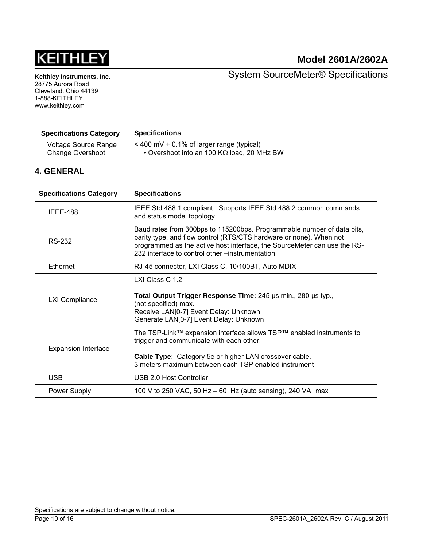

System SourceMeter® Specifications

| <b>Specifications Category</b> | <b>Specifications</b>                              |
|--------------------------------|----------------------------------------------------|
| Voltage Source Range           | $<$ 400 mV + 0.1% of larger range (typical)        |
| <b>Change Overshoot</b>        | • Overshoot into an 100 K $\Omega$ load, 20 MHz BW |

## **4. GENERAL**

| <b>Specifications Category</b> | <b>Specifications</b>                                                                                                                                                                                                                                                       |  |  |  |
|--------------------------------|-----------------------------------------------------------------------------------------------------------------------------------------------------------------------------------------------------------------------------------------------------------------------------|--|--|--|
| IEEE-488                       | IEEE Std 488.1 compliant. Supports IEEE Std 488.2 common commands<br>and status model topology.                                                                                                                                                                             |  |  |  |
| <b>RS-232</b>                  | Baud rates from 300bps to 115200bps. Programmable number of data bits,<br>parity type, and flow control (RTS/CTS hardware or none). When not<br>programmed as the active host interface, the SourceMeter can use the RS-<br>232 interface to control other –instrumentation |  |  |  |
| <b>Ethernet</b>                | RJ-45 connector, LXI Class C, 10/100BT, Auto MDIX                                                                                                                                                                                                                           |  |  |  |
| <b>LXI Compliance</b>          | LXI Class C 1.2<br>Total Output Trigger Response Time: 245 us min., 280 us typ.,<br>(not specified) max.<br>Receive LAN[0-7] Event Delay: Unknown<br>Generate LAN[0-7] Event Delay: Unknown                                                                                 |  |  |  |
| <b>Expansion Interface</b>     | The TSP-Link™ expansion interface allows TSP™ enabled instruments to<br>trigger and communicate with each other.<br><b>Cable Type:</b> Category 5e or higher LAN crossover cable.<br>3 meters maximum between each TSP enabled instrument                                   |  |  |  |
| <b>USB</b>                     | USB 2.0 Host Controller                                                                                                                                                                                                                                                     |  |  |  |
| Power Supply                   | 100 V to 250 VAC, 50 Hz $-$ 60 Hz (auto sensing), 240 VA max                                                                                                                                                                                                                |  |  |  |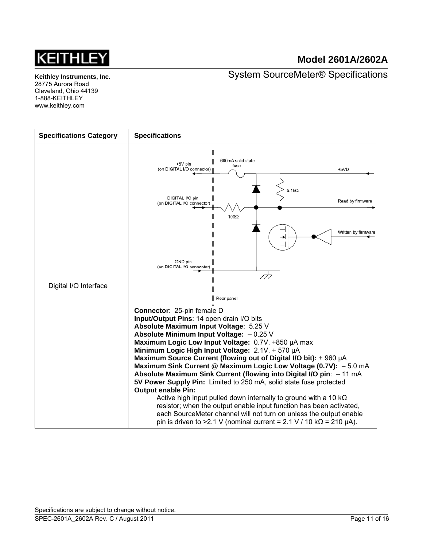

System SourceMeter® Specifications

**Keithley Instruments, Inc.**  28775 Aurora Road Cleveland, Ohio 44139 1-888-KEITHLEY www.keithley.com

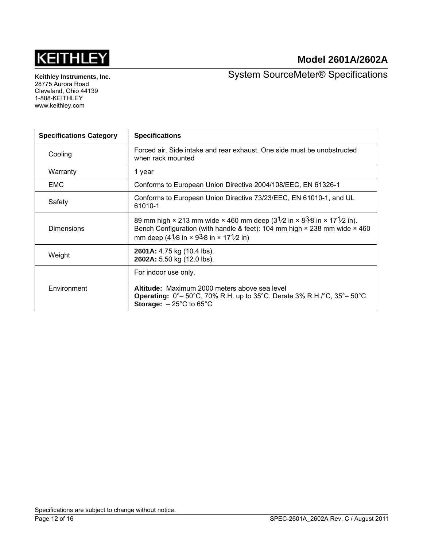

**Keithley Instruments, Inc.**  28775 Aurora Road Cleveland, Ohio 44139 1-888-KEITHLEY www.keithley.com

System SourceMeter® Specifications

| <b>Specifications Category</b> | <b>Specifications</b>                                                                                                                                                                                                                                                         |
|--------------------------------|-------------------------------------------------------------------------------------------------------------------------------------------------------------------------------------------------------------------------------------------------------------------------------|
| Cooling                        | Forced air. Side intake and rear exhaust. One side must be unobstructed<br>when rack mounted                                                                                                                                                                                  |
| Warranty                       | 1 year                                                                                                                                                                                                                                                                        |
| <b>EMC</b>                     | Conforms to European Union Directive 2004/108/EEC, EN 61326-1                                                                                                                                                                                                                 |
| Safety                         | Conforms to European Union Directive 73/23/EEC, EN 61010-1, and UL<br>61010-1                                                                                                                                                                                                 |
| <b>Dimensions</b>              | 89 mm high $\times$ 213 mm wide $\times$ 460 mm deep (31/2 in $\times$ 83/8 in $\times$ 171/2 in).<br>Bench Configuration (with handle & feet): 104 mm high $\times$ 238 mm wide $\times$ 460<br>mm deep (41/8 in $\times$ 93/8 in $\times$ 171/2 in)                         |
| Weight                         | 2601A: 4.75 kg (10.4 lbs).<br>2602A: 5.50 kg (12.0 lbs).                                                                                                                                                                                                                      |
| Environment                    | For indoor use only.<br>Altitude: Maximum 2000 meters above sea level<br><b>Operating:</b> $0^{\circ}$ – 50 $^{\circ}$ C, 70% R.H. up to 35 $^{\circ}$ C. Derate 3% R.H./ $^{\circ}$ C, 35 $^{\circ}$ – 50 $^{\circ}$ C<br><b>Storage:</b> $-25^{\circ}$ C to 65 $^{\circ}$ C |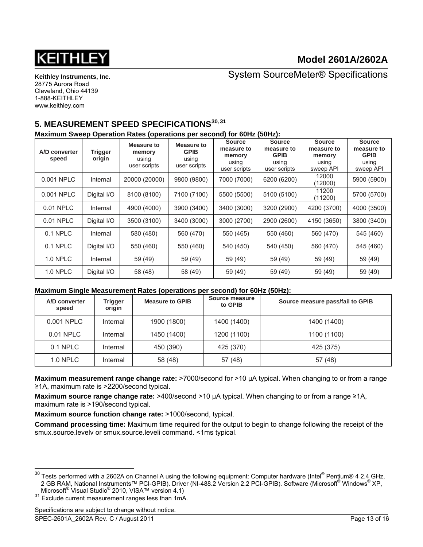

System SourceMeter® Specifications

## **5. MEASUREMENT SPEED SPECIFICATIONS[30](#page-12-0),[31](#page-12-1)**

#### **Maximum Sweep Operation Rates (operations per second) for 60Hz (50Hz):**

| A/D converter<br>speed | <b>Trigger</b><br>origin | <b>Measure to</b><br>memory<br>using<br>user scripts | Measure to<br><b>GPIB</b><br>using<br>user scripts | <b>Source</b><br>measure to<br>memory<br>using<br>user scripts | <b>Source</b><br>measure to<br><b>GPIB</b><br>using<br>user scripts | <b>Source</b><br>measure to<br>memory<br>using<br>sweep API | <b>Source</b><br>measure to<br><b>GPIB</b><br>using<br>sweep API |
|------------------------|--------------------------|------------------------------------------------------|----------------------------------------------------|----------------------------------------------------------------|---------------------------------------------------------------------|-------------------------------------------------------------|------------------------------------------------------------------|
| 0.001 NPLC             | Internal                 | 20000 (20000)                                        | 9800 (9800)                                        | 7000 (7000)                                                    | 6200 (6200)                                                         | 12000<br>(12000)                                            | 5900 (5900)                                                      |
| 0.001 NPLC             | Digital I/O              | 8100 (8100)                                          | 7100 (7100)                                        | 5500 (5500)                                                    | 5100 (5100)                                                         | 11200<br>(11200)                                            | 5700 (5700)                                                      |
| 0.01 NPLC              | Internal                 | 4900 (4000)                                          | 3900 (3400)                                        | 3400 (3000)                                                    | 3200 (2900)                                                         | 4200 (3700)                                                 | 4000 (3500)                                                      |
| 0.01 NPLC              | Digital I/O              | 3500 (3100)                                          | 3400 (3000)                                        | 3000 (2700)                                                    | 2900 (2600)                                                         | 4150 (3650)                                                 | 3800 (3400)                                                      |
| 0.1 NPLC               | Internal                 | 580 (480)                                            | 560 (470)                                          | 550 (465)                                                      | 550 (460)                                                           | 560 (470)                                                   | 545 (460)                                                        |
| 0.1 NPLC               | Digital I/O              | 550 (460)                                            | 550 (460)                                          | 540 (450)                                                      | 540 (450)                                                           | 560 (470)                                                   | 545 (460)                                                        |
| 1.0 NPLC               | Internal                 | 59 (49)                                              | 59 (49)                                            | 59 (49)                                                        | 59 (49)                                                             | 59 (49)                                                     | 59 (49)                                                          |
| <b>1.0 NPLC</b>        | Digital I/O              | 58 (48)                                              | 58 (49)                                            | 59 (49)                                                        | 59 (49)                                                             | 59 (49)                                                     | 59 (49)                                                          |

#### **Maximum Single Measurement Rates (operations per second) for 60Hz (50Hz):**

| A/D converter<br>speed | Trigger<br>origin | <b>Measure to GPIB</b> | Source measure<br>to GPIB | Source measure pass/fail to GPIB |
|------------------------|-------------------|------------------------|---------------------------|----------------------------------|
| 0.001 NPLC             | Internal          | 1900 (1800)            | 1400 (1400)               | 1400 (1400)                      |
| 0.01 NPLC              | Internal          | 1450 (1400)            | 1200 (1100)               | 1100 (1100)                      |
| 0.1 NPLC               | Internal          | 450 (390)              | 425 (370)                 | 425 (375)                        |
| 1.0 NPLC               | Internal          | 58 (48)                | 57 (48)                   | 57 (48)                          |

**Maximum measurement range change rate:** >7000/second for >10 µA typical. When changing to or from a range ≥1A, maximum rate is >2200/second typical.

**Maximum source range change rate:** >400/second >10 µA typical. When changing to or from a range ≥1A, maximum rate is >190/second typical.

**Maximum source function change rate: >1000/second, typical.** 

**Command processing time:** Maximum time required for the output to begin to change following the receipt of the smux.source.levelv or smux.source.leveli command. <1ms typical.

<span id="page-12-1"></span>Microsoft<sup>®</sup> Visual Studio<sup>®</sup> 2010, VISA™ version 4.1)<br><sup>31</sup> Exclude current measurement ranges less than 1mA.

Specifications are subject to change without notice.

<span id="page-12-0"></span> $^{30}$  Tests performed with a 2602A on Channel A using the following equipment: Computer hardware (Intel® Pentium® 4 2.4 GHz, 2 GB RAM, National Instruments™ PCI-GPIB). Driver (NI-488.2 Version 2.2 PCI-GPIB). Software (Microsoft® Windows® XP,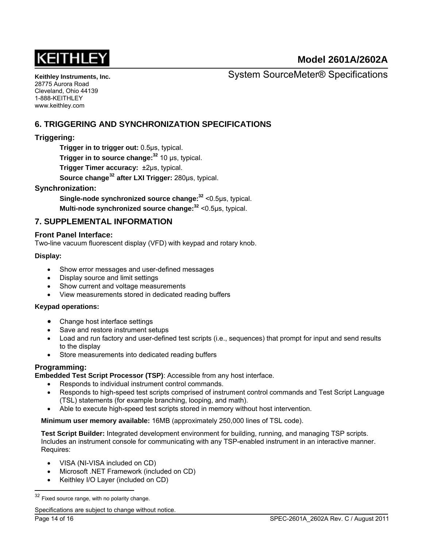

**Keithley Instruments, Inc.**  28775 Aurora Road Cleveland, Ohio 44139 1-888-KEITHLEY www.keithley.com

System SourceMeter® Specifications

## **6. TRIGGERING AND SYNCHRONIZATION SPECIFICATIONS**

## **Triggering:**

**Trigger in to trigger out:** 0.5μs, typical. **Trigger in to source change:<sup>32</sup>** 10 μs, typical. **Trigger Timer accuracy:** ±2μs, typical.  **Source change[32](#page-13-0) after LXI Trigger:** 280μs, typical.

## <span id="page-13-1"></span>**Synchronization:**

**Single-node synchronized source change[:32](#page-13-1)** <0.5μs, typical.

**Multi-node synchronized source change:[32](#page-13-1)** <0.5μs, typical.

## **7. SUPPLEMENTAL INFORMATION**

#### **Front Panel Interface:**

Two-line vacuum fluorescent display (VFD) with keypad and rotary knob.

#### **Display:**

- Show error messages and user-defined messages
- Display source and limit settings
- Show current and voltage measurements
- View measurements stored in dedicated reading buffers

#### **Keypad operations:**

- Change host interface settings
- Save and restore instrument setups
- Load and run factory and user-defined test scripts (i.e., sequences) that prompt for input and send results to the display
- Store measurements into dedicated reading buffers

## **Programming:**

**Embedded Test Script Processor (TSP)**: Accessible from any host interface.

- Responds to individual instrument control commands.
- Responds to high-speed test scripts comprised of instrument control commands and Test Script Language (TSL) statements (for example branching, looping, and math).
- Able to execute high-speed test scripts stored in memory without host intervention.

**Minimum user memory available:** 16MB (approximately 250,000 lines of TSL code).

**Test Script Builder:** Integrated development environment for building, running, and managing TSP scripts. Includes an instrument console for communicating with any TSP-enabled instrument in an interactive manner. Requires:

- VISA (NI-VISA included on CD)
- Microsoft .NET Framework (included on CD)
- Keithley I/O Layer (included on CD)

Specifications are subject to change without notice.

<span id="page-13-0"></span> $32$  Fixed source range, with no polarity change.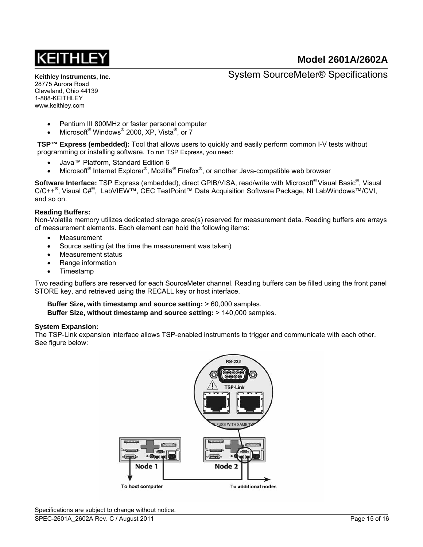**Keithley Instruments, Inc.**  28775 Aurora Road Cleveland, Ohio 44139 1-888-KEITHLEY www.keithley.com

System SourceMeter® Specifications

- Pentium III 800MHz or faster personal computer
- Microsoft Windows 2000, XP, Vista <sup>®</sup>, or 7

**TSP™ Express (embedded):** Tool that allows users to quickly and easily perform common I-V tests without programming or installing software. To run TSP Express, you need:

- Java™ Platform, Standard Edition 6
- Microsoft<sup>®</sup> Internet Explorer®, Mozilla® Firefox<sup>®</sup>, or another Java-compatible web browser

Software Interface: TSP Express (embedded), direct GPIB/VISA, read/write with Microsoft®Visual Basic<sup>®</sup>, Visual C/C++<sup>®</sup>, Visual C#<sup>®</sup>, LabVIEW™, CEC TestPoint™ Data Acquisition Software Package, NI LabWindows™/CVI, and so on.

#### **Reading Buffers:**

Non-Volatile memory utilizes dedicated storage area(s) reserved for measurement data. Reading buffers are arrays of measurement elements. Each element can hold the following items:

- Measurement
- Source setting (at the time the measurement was taken)
- Measurement status
- Range information
- Timestamp

Two reading buffers are reserved for each SourceMeter channel. Reading buffers can be filled using the front panel STORE key, and retrieved using the RECALL key or host interface.

**Buffer Size, with timestamp and source setting:** > 60,000 samples. **Buffer Size, without timestamp and source setting:** > 140,000 samples.

#### **System Expansion:**

The TSP-Link expansion interface allows TSP-enabled instruments to trigger and communicate with each other. See figure below: